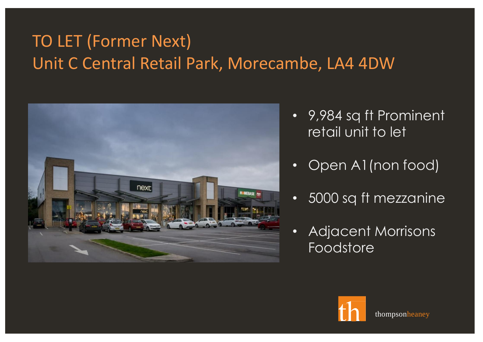# TO LET (Former Next) Unit C Central Retail Park, Morecambe, LA4 4DW



- 9,984 sq ft Prominent retail unit to let
- Open A1(non food)
- 5000 sq ft mezzanine
- Adjacent Morrisons Foodstore